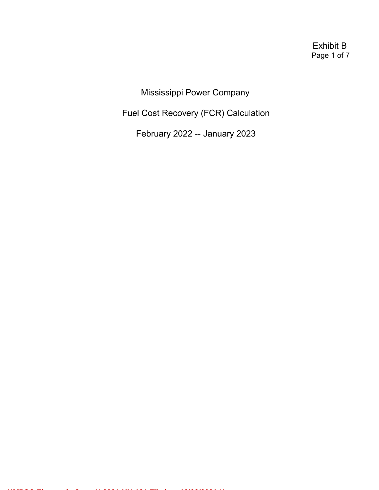Exhibit B Page 1 of 7

Mississippi Power Company

Fuel Cost Recovery (FCR) Calculation

February 2022 -- January 2023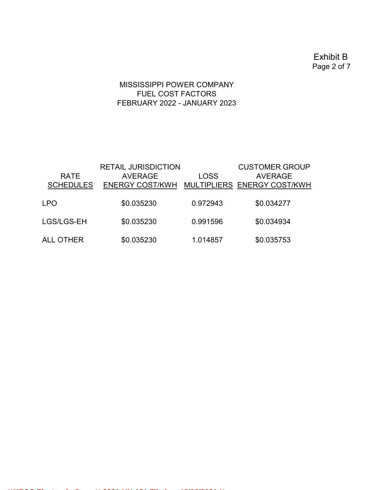Exhibit B Page 2 of 7

# MISSISSIPPI POWER COMPANY FUEL COST FACTORS FEBRUARY 2022 - JANUARY 2023

| <b>RATE</b><br><b>SCHEDULES</b> | <b>RETAIL JURISDICTION</b><br><b>AVERAGE</b><br>ENERGY COST/KWH MULTIPLIERS ENERGY COST/KWH | <b>LOSS</b> | <b>CUSTOMER GROUP</b><br><b>AVERAGE</b> |
|---------------------------------|---------------------------------------------------------------------------------------------|-------------|-----------------------------------------|
| <b>LPO</b>                      | \$0.035230                                                                                  | 0.972943    | \$0.034277                              |
| LGS/LGS-EH                      | \$0.035230                                                                                  | 0.991596    | \$0.034934                              |
| ALL OTHER                       | \$0.035230                                                                                  | 1.014857    | \$0.035753                              |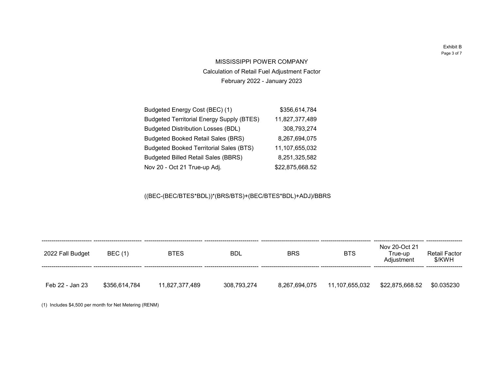Exhibit B Page 3 of 7

87,489 93,274

MISSISSIPPI POWER COMPANY Calculation of Retail Fuel Adjustment Factor February 2022 - January 2023

| Budgeted Energy Cost (BEC) (1)                   | \$356,614,784   |
|--------------------------------------------------|-----------------|
| <b>Budgeted Territorial Energy Supply (BTES)</b> | 11,827,377,489  |
| <b>Budgeted Distribution Losses (BDL)</b>        | 308,793,274     |
| <b>Budgeted Booked Retail Sales (BRS)</b>        | 8,267,694,075   |
| <b>Budgeted Booked Territorial Sales (BTS)</b>   | 11,107,655,032  |
| <b>Budgeted Billed Retail Sales (BBRS)</b>       | 8,251,325,582   |
| Nov 20 - Oct 21 True-up Adj.                     | \$22,875,668.52 |

((BEC-(BEC/BTES\*BDL))\*(BRS/BTS)+(BEC/BTES\*BDL)+ADJ)/BBRS

| 2022 Fall Budget | <b>BEC</b> (1) | <b>BTES</b>    | <b>BDL</b>  | <b>BRS</b>    | <b>BTS</b>     | Nov 20-Oct 21<br>True-up<br>Adjustment | <b>Retail Factor</b><br>\$/KWH |
|------------------|----------------|----------------|-------------|---------------|----------------|----------------------------------------|--------------------------------|
| Feb 22 - Jan 23  | \$356,614,784  | 11,827,377,489 | 308,793,274 | 8,267,694,075 | 11,107,655,032 | \$22,875,668.52                        | \$0.035230                     |

(1) Includes \$4,500 per month for Net Metering (RENM)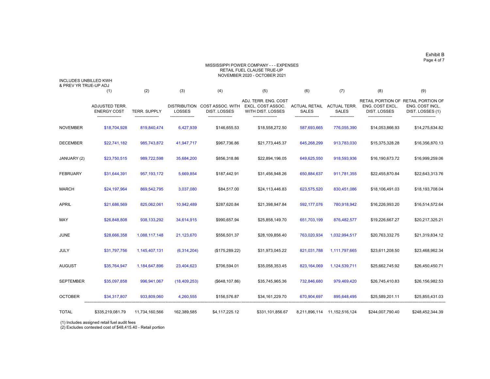# Exhibit B Page 4 of 7

### MISSISSIPPI POWER COMPANY - - - EXPENSES RETAIL FUEL CLAUSE TRUE-UP NOVEMBER 2020 - OCTOBER 2021

INCLUDES UNBILLED KWH & PREV YR TRUE-UP ADJ

|                 | (1)                                         | (2)                 | (3)                                  | (4)                                            | (5)                                                                   | (6)                                  | (7)                                 | (8)                                                                | (9)                                                             |
|-----------------|---------------------------------------------|---------------------|--------------------------------------|------------------------------------------------|-----------------------------------------------------------------------|--------------------------------------|-------------------------------------|--------------------------------------------------------------------|-----------------------------------------------------------------|
|                 | <b>ADJUSTED TERR.</b><br><b>ENERGY COST</b> | <b>TERR. SUPPLY</b> | <b>DISTRIBUTION</b><br><b>LOSSES</b> | <b>COST ASSOC. WITH</b><br><b>DIST. LOSSES</b> | ADJ. TERR. ENG. COST<br>EXCL. COST ASSOC.<br><b>WITH DIST. LOSSES</b> | <b>ACTUAL RETAIL</b><br><b>SALES</b> | <b>ACTUAL TERR.</b><br><b>SALES</b> | <b>RETAIL PORTION OF</b><br>ENG. COST EXCL.<br><b>DIST. LOSSES</b> | <b>RETAIL PORTION OF</b><br>ENG. COST INCL.<br>DIST. LOSSES (1) |
| NOVEMBER        | \$18,704,928                                | 819,840,474         | 6,427,939                            | \$146,655.53                                   | \$18,558,272.50                                                       | 587,693,665                          | 776,055,390                         | \$14,053,866.93                                                    | \$14,275,634.82                                                 |
| <b>DECEMBER</b> | \$22,741,182                                | 985,743,872         | 41,947,717                           | \$967,736.86                                   | \$21,773,445.37                                                       | 645,268,299                          | 913,783,030                         | \$15,375,328.28                                                    | \$16,356,870.13                                                 |
| JANUARY (2)     | \$23,750,515                                | 989,722,598         | 35,684,200                           | \$856,318.86                                   | \$22,894,196.05                                                       | 649,625,550                          | 918,593,936                         | \$16,190,673.72                                                    | \$16,999,259.06                                                 |
| <b>FEBRUARY</b> | \$31,644,391                                | 957, 193, 172       | 5,669,854                            | \$187,442.91                                   | \$31,456,948.26                                                       | 650,884,637                          | 911,781,355                         | \$22,455,870.84                                                    | \$22,643,313.76                                                 |
| MARCH           | \$24,197,964                                | 869,542,795         | 3,037,080                            | \$84,517.00                                    | \$24,113,446.83                                                       | 623,575,520                          | 830,451,086                         | \$18,106,491.03                                                    | \$18,193,708.04                                                 |
| APRIL           | \$21,686,569                                | 825,062,061         | 10,942,489                           | \$287,620.84                                   | \$21,398,947.84                                                       | 592,177,076                          | 780,918,942                         | \$16,226,993.20                                                    | \$16,514,572.64                                                 |
| MAY             | \$26,848,808                                | 938,133,292         | 34,614,915                           | \$990,657.94                                   | \$25,858,149.70                                                       | 651,703,199                          | 876,482,577                         | \$19,226,667.27                                                    | \$20,217,325.21                                                 |
| JUNE            | \$28,666,358                                | 1,088,117,148       | 21,123,670                           | \$556,501.37                                   | \$28,109,856.40                                                       | 763,020,934                          | 1,032,994,517                       | \$20,763,332.75                                                    | \$21,319,834.12                                                 |
| JULY            | \$31,797,756                                | 1,145,407,131       | (6,314,204)                          | (\$175,289.22)                                 | \$31,973,045.22                                                       | 821,031,788                          | 1,111,797,665                       | \$23,611,208.50                                                    | \$23,468,962.34                                                 |
| AUGUST          | \$35,764,947                                | 1,184,647,896       | 23,404,623                           | \$706,594.01                                   | \$35,058,353.45                                                       | 823,164,069                          | 1,124,539,711                       | \$25,662,745.92                                                    | \$26,450,450.71                                                 |
| SEPTEMBER       | \$35,097,858                                | 996,941,067         | (18, 409, 253)                       | (\$648, 107.86)                                | \$35,745,965.36                                                       | 732,846,680                          | 979,469,420                         | \$26,745,410.83                                                    | \$26,156,982.53                                                 |
| <b>OCTOBER</b>  | \$34,317,807                                | 933,809,060         | 4,260,555                            | \$156,576.87                                   | \$34,161,229.70                                                       | 670,904,697                          | 895,648,495                         | \$25,589,201.11                                                    | \$25,855,431.03                                                 |
| TOTAL           | \$335,219,081.79                            | 11,734,160,566      | 162,389,585                          | \$4,117,225.12                                 | \$331,101,856.67                                                      | 8,211,896,114                        | 11, 152, 516, 124                   | \$244,007,790.40                                                   | \$248,452,344.39                                                |

(1) Includes assigned retail fuel audit fees

(2) Excludes contested cost of \$48,415.40 - Retail portion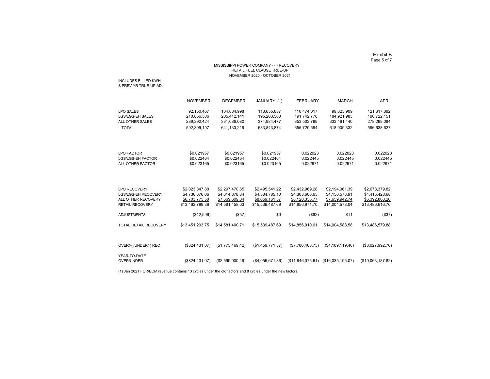# Exhibit B Page 5 of 7

## MISSISSIPPI POWER COMPANY - - - RECOVERY RETAIL FUEL CLAUSE TRUE-UP NOVEMBER 2020 - OCTOBER 2021

INCLUDES BILLED KWH & PREV YR TRUE-UP ADJ

|                                                                                                   | <b>NOVEMBER</b>                                                       | <b>DECEMBER</b>                                                       | JANUARY (1)                                                           | <b>FEBRUARY</b>                                                       | <b>MARCH</b>                                                          | <b>APRIL</b>                                                          |
|---------------------------------------------------------------------------------------------------|-----------------------------------------------------------------------|-----------------------------------------------------------------------|-----------------------------------------------------------------------|-----------------------------------------------------------------------|-----------------------------------------------------------------------|-----------------------------------------------------------------------|
| <b>LPO SALES</b><br><b>LGS/LGS-EH SALES</b><br>ALL OTHER SALES                                    | 92,150,467<br>210,856,306<br>289,392,424                              | 104,634,998<br>205,412,141<br>331,086,080                             | 113,655,837<br>195,203,560<br>374,984,477                             | 110,474,017<br>191,742,778<br>353,503,799                             | 99,625,909<br>184,921,983<br>333,461,440                              | 121,617,392<br>196,722,151<br>278,299,084                             |
| <b>TOTAL</b>                                                                                      | 592,399,197                                                           | 641,133,219                                                           | 683,843,874                                                           | 655,720,594                                                           | 618,009,332                                                           | 596,638,627                                                           |
| <b>LPO FACTOR</b><br><b>LGS/LGS-EH FACTOR</b><br>ALL OTHER FACTOR                                 | \$0.021957<br>\$0.022464<br>\$0.023165                                | \$0.021957<br>\$0.022464<br>\$0.023165                                | \$0.021957<br>\$0.022464<br>\$0.023165                                | 0.022023<br>0.022445<br>0.022971                                      | 0.022023<br>0.022445<br>0.022971                                      | 0.022023<br>0.022445<br>0.022971                                      |
| <b>LPO RECOVERY</b><br><b>LGS/LGS-EH RECOVERY</b><br>ALL OTHER RECOVERY<br><b>RETAIL RECOVERY</b> | \$2,023,347.80<br>\$4,736,676.06<br>\$6,703,775.50<br>\$13,463,799.36 | \$2,297,470.65<br>\$4,614,378.34<br>\$7,669,609.04<br>\$14,581,458.03 | \$2,495,541.22<br>\$4,384,785.10<br>\$8,659,161.37<br>\$15,539,487.69 | \$2,432,969.28<br>\$4,303,666.65<br>\$8,120,335.77<br>\$14,856,971.70 | \$2,194,061.39<br>\$4,150,573.91<br>\$7,659,942.74<br>\$14,004,578.04 | \$2,678,379.82<br>\$4,415,428.68<br>\$6,392,808.26<br>\$13,486,616.76 |
| <b>ADJUSTMENTS</b>                                                                                | (\$12,596)                                                            | (\$57)                                                                | \$0                                                                   | (\$62)                                                                | \$11                                                                  | (\$37)                                                                |
| <b>TOTAL RETAIL RECOVERY</b>                                                                      | \$13,451,203.75                                                       | \$14,581,400.71                                                       | \$15,539,487.69                                                       | \$14,856,910.01                                                       | \$14,004,588.58                                                       | \$13,486,579.88                                                       |
| OVER(+)/UNDER() REC                                                                               | (\$824,431.07)                                                        | (\$1,775,469.42)                                                      | (\$1,459,771.37)                                                      | (\$7,786,403.75)                                                      | (\$4,189,119.46)                                                      | (\$3,027,992.76)                                                      |
| YEAR-TO-DATE<br>OVER/UNDER                                                                        | (\$824,431.07)                                                        | (\$2,599,900.49)                                                      | (\$4,059,671.86)                                                      | (\$11,846,075.61)                                                     | (\$16,035,195.07)                                                     | (\$19,063,187.82)                                                     |

(1) Jan 2021 FCR/ECM revenue contains 13 cycles under the old factors and 8 cycles under the new factors.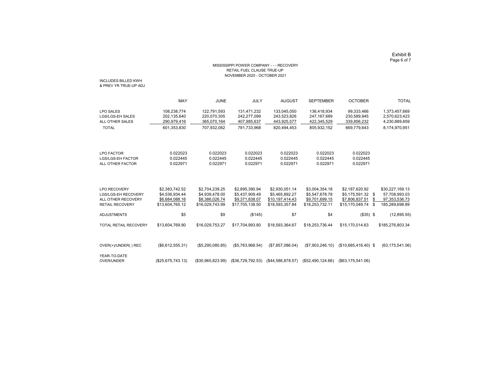# Exhibit B Page 6 of 7

### MISSISSIPPI POWER COMPANY - - - RECOVERY RETAIL FUEL CLAUSE TRUE-UP NOVEMBER 2020 - OCTOBER 2021

INCLUDES BILLED KWH & PREV YR TRUE-UP ADJ

|                                                                                                          | <b>MAY</b>                                                            | <b>JUNE</b>                                                           | <b>JULY</b>                                                           | <b>AUGUST</b>                                                          | <b>SEPTEMBER</b>                                                      | <b>OCTOBER</b>                                                                          | <b>TOTAL</b>                                                           |
|----------------------------------------------------------------------------------------------------------|-----------------------------------------------------------------------|-----------------------------------------------------------------------|-----------------------------------------------------------------------|------------------------------------------------------------------------|-----------------------------------------------------------------------|-----------------------------------------------------------------------------------------|------------------------------------------------------------------------|
| <b>LPO SALES</b><br><b>LGS/LGS-EH SALES</b><br>ALL OTHER SALES<br><b>TOTAL</b>                           | 108,238,774<br>202,135,640<br>290,979,416<br>601,353,830              | 122,791,593<br>220,070,305<br>365,070,164<br>707,932,062              | 131,471,232<br>242,277,099<br>407,985,637<br>781,733,968              | 133,045,050<br>243,523,826<br>443,925,577<br>820,494,453               | 136,418,934<br>247, 167, 689<br>422,345,529<br>805,932,152            | 99,333,466<br>230,589,945<br>339,856,232<br>669,779,643                                 | 1,373,457,669<br>2,570,623,423<br>4,230,889,859<br>8,174,970,951       |
| <b>LPO FACTOR</b><br><b>LGS/LGS-EH FACTOR</b><br>ALL OTHER FACTOR                                        | 0.022023<br>0.022445<br>0.022971                                      | 0.022023<br>0.022445<br>0.022971                                      | 0.022023<br>0.022445<br>0.022971                                      | 0.022023<br>0.022445<br>0.022971                                       | 0.022023<br>0.022445<br>0.022971                                      | 0.022023<br>0.022445<br>0.022971                                                        |                                                                        |
| <b>LPO RECOVERY</b><br><b>LGS/LGS-EH RECOVERY</b><br><b>ALL OTHER RECOVERY</b><br><b>RETAIL RECOVERY</b> | \$2,383,742.52<br>\$4,536,934.44<br>\$6,684,088.16<br>\$13,604,765.12 | \$2,704,239.25<br>\$4,939,478.00<br>\$8,386,026.74<br>\$16,029,743.99 | \$2,895,390.94<br>\$5,437,909.49<br>\$9,371,838.07<br>\$17,705,138.50 | \$2,930,051.14<br>\$5,465,892.27<br>\$10,197,414.43<br>\$18,593,357.84 | \$3,004,354.18<br>\$5,547,678.78<br>\$9,701,699.15<br>\$18,253,732.11 | \$2,187,620.92<br>$$5,175,591.32$ \$<br>\$7,806,837.51<br>\$<br>\$15,170,049.74<br>- \$ | \$30,227,169.13<br>57,708,993.03<br>97, 353, 536. 73<br>185,289,698.89 |
| <b>ADJUSTMENTS</b>                                                                                       | \$5                                                                   | \$9                                                                   | (\$145)                                                               | \$7                                                                    | \$4                                                                   | $($35)$ \$                                                                              | (12,895.55)                                                            |
| <b>TOTAL RETAIL RECOVERY</b>                                                                             | \$13,604,769.90                                                       | \$16,029,753.27                                                       | \$17,704,993.80                                                       | \$18,593,364.67                                                        | \$18,253,736.44                                                       | \$15,170,014.63                                                                         | \$185,276,803.34                                                       |
| OVER(+)/UNDER() REC                                                                                      | (\$6,612,555.31)                                                      | (\$5,290,080.85)                                                      | (\$5,763,968.54)                                                      | (\$7,857,086.04)                                                       | (\$7,903,246.10)                                                      | $($10,685,416.40)$ \$                                                                   | (63, 175, 541.06)                                                      |
| YEAR-TO-DATE<br><b>OVER/UNDER</b>                                                                        | (\$25,675,743.13)                                                     | (\$30,965,823.99)                                                     | (\$36,729,792.53)                                                     | (\$44,586,878.57)                                                      | (\$52,490,124.66)                                                     | (\$63,175,541.06)                                                                       |                                                                        |